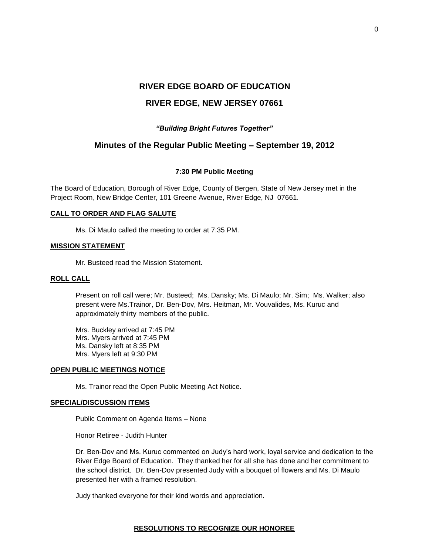# **RIVER EDGE BOARD OF EDUCATION RIVER EDGE, NEW JERSEY 07661**

# *"Building Bright Futures Together"*

# **Minutes of the Regular Public Meeting – September 19, 2012**

## **7:30 PM Public Meeting**

The Board of Education, Borough of River Edge, County of Bergen, State of New Jersey met in the Project Room, New Bridge Center, 101 Greene Avenue, River Edge, NJ 07661.

## **CALL TO ORDER AND FLAG SALUTE**

Ms. Di Maulo called the meeting to order at 7:35 PM.

## **MISSION STATEMENT**

Mr. Busteed read the Mission Statement.

# **ROLL CALL**

Present on roll call were; Mr. Busteed; Ms. Dansky; Ms. Di Maulo; Mr. Sim; Ms. Walker; also present were Ms.Trainor, Dr. Ben-Dov, Mrs. Heitman, Mr. Vouvalides, Ms. Kuruc and approximately thirty members of the public.

Mrs. Buckley arrived at 7:45 PM Mrs. Myers arrived at 7:45 PM Ms. Dansky left at 8:35 PM Mrs. Myers left at 9:30 PM

## **OPEN PUBLIC MEETINGS NOTICE**

Ms. Trainor read the Open Public Meeting Act Notice.

#### **SPECIAL/DISCUSSION ITEMS**

Public Comment on Agenda Items – None

Honor Retiree - Judith Hunter

Dr. Ben-Dov and Ms. Kuruc commented on Judy's hard work, loyal service and dedication to the River Edge Board of Education. They thanked her for all she has done and her commitment to the school district. Dr. Ben-Dov presented Judy with a bouquet of flowers and Ms. Di Maulo presented her with a framed resolution.

Judy thanked everyone for their kind words and appreciation.

#### **RESOLUTIONS TO RECOGNIZE OUR HONOREE**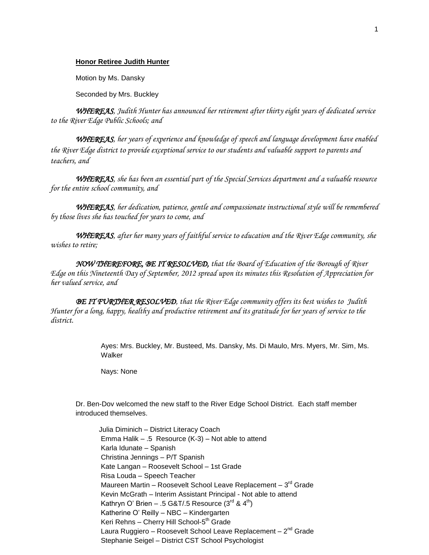#### **Honor Retiree Judith Hunter**

Motion by Ms. Dansky

Seconded by Mrs. Buckley

*WHEREAS, Judith Hunter has announced her retirement after thirty eight years of dedicated service to the River Edge Public Schools; and*

 *WHEREAS, her years of experience and knowledge of speech and language development have enabled the River Edge district to provide exceptional service to our students and valuable support to parents and teachers, and* 

*WHEREAS, she has been an essential part of the Special Services department and a valuable resource for the entire school community, and*

*WHEREAS, her dedication, patience, gentle and compassionate instructional style will be remembered by those lives she has touched for years to come, and*

*WHEREAS, after her many years of faithful service to education and the River Edge community, she wishes to retire;*

*NOW THEREFORE, BE IT RESOLVED, that the Board of Education of the Borough of River Edge on this Nineteenth Day of September, 2012 spread upon its minutes this Resolution of Appreciation for her valued service, and*

*BE IT FURTHER RESOLVED, that the River Edge community offers its best wishes to Judith Hunter for a long, happy, healthy and productive retirement and its gratitude for her years of service to the district.* 

> Ayes: Mrs. Buckley, Mr. Busteed, Ms. Dansky, Ms. Di Maulo, Mrs. Myers, Mr. Sim, Ms. Walker

Nays: None

Dr. Ben-Dov welcomed the new staff to the River Edge School District. Each staff member introduced themselves.

 Julia Diminich – District Literacy Coach Emma Halik – .5 Resource (K-3) – Not able to attend Karla Idunate – Spanish Christina Jennings – P/T Spanish Kate Langan – Roosevelt School – 1st Grade Risa Louda – Speech Teacher Maureen Martin – Roosevelt School Leave Replacement – 3<sup>rd</sup> Grade Kevin McGrath – Interim Assistant Principal - Not able to attend Kathryn O' Brien - .5 G&T/.5 Resource  $(3<sup>rd</sup>$  &  $4<sup>th</sup>)$ Katherine O' Reilly – NBC – Kindergarten Keri Rehns – Cherry Hill School-5<sup>th</sup> Grade Laura Ruggiero – Roosevelt School Leave Replacement – 2<sup>nd</sup> Grade Stephanie Seigel – District CST School Psychologist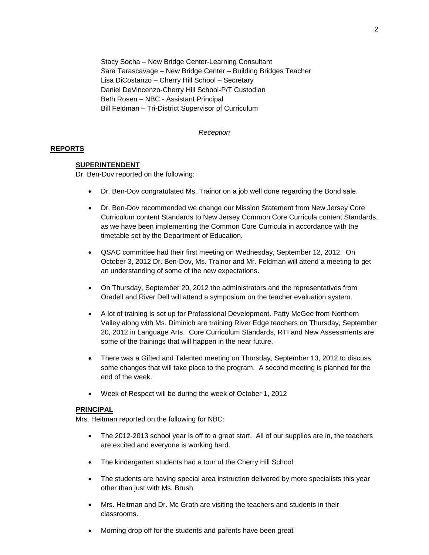Stacy Socha – New Bridge Center-Learning Consultant Sara Tarascavage – New Bridge Center – Building Bridges Teacher Lisa DiCostanzo – Cherry Hill School – Secretary Daniel DeVincenzo-Cherry Hill School-P/T Custodian Beth Rosen – NBC - Assistant Principal Bill Feldman – Tri-District Supervisor of Curriculum

## *Reception*

## **REPORTS**

## **SUPERINTENDENT**

Dr. Ben-Dov reported on the following:

- Dr. Ben-Dov congratulated Ms. Trainor on a job well done regarding the Bond sale.
- Dr. Ben-Dov recommended we change our Mission Statement from New Jersey Core Curriculum content Standards to New Jersey Common Core Curricula content Standards, as we have been implementing the Common Core Curricula in accordance with the timetable set by the Department of Education.
- QSAC committee had their first meeting on Wednesday, September 12, 2012. On October 3, 2012 Dr. Ben-Dov, Ms. Trainor and Mr. Feldman will attend a meeting to get an understanding of some of the new expectations.
- On Thursday, September 20, 2012 the administrators and the representatives from Oradell and River Dell will attend a symposium on the teacher evaluation system.
- A lot of training is set up for Professional Development. Patty McGee from Northern Valley along with Ms. Diminich are training River Edge teachers on Thursday, September 20, 2012 in Language Arts. Core Curriculum Standards, RTI and New Assessments are some of the trainings that will happen in the near future.
- There was a Gifted and Talented meeting on Thursday, September 13, 2012 to discuss some changes that will take place to the program. A second meeting is planned for the end of the week.
- Week of Respect will be during the week of October 1, 2012

#### **PRINCIPAL**

Mrs. Heitman reported on the following for NBC:

- The 2012-2013 school year is off to a great start. All of our supplies are in, the teachers are excited and everyone is working hard.
- The kindergarten students had a tour of the Cherry Hill School
- The students are having special area instruction delivered by more specialists this year other than just with Ms. Brush
- Mrs. Heitman and Dr. Mc Grath are visiting the teachers and students in their classrooms.
- Morning drop off for the students and parents have been great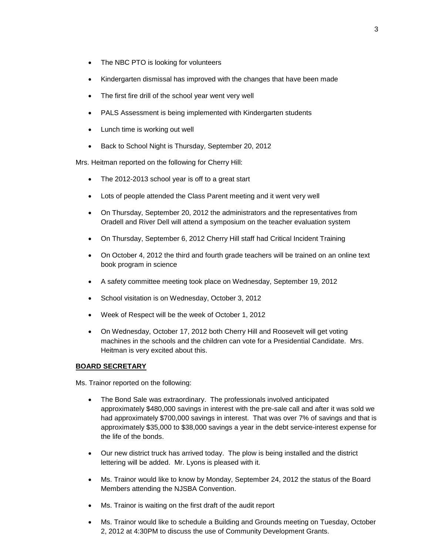- The NBC PTO is looking for volunteers
- Kindergarten dismissal has improved with the changes that have been made
- The first fire drill of the school year went very well
- PALS Assessment is being implemented with Kindergarten students
- Lunch time is working out well
- Back to School Night is Thursday, September 20, 2012

Mrs. Heitman reported on the following for Cherry Hill:

- The 2012-2013 school year is off to a great start
- Lots of people attended the Class Parent meeting and it went very well
- On Thursday, September 20, 2012 the administrators and the representatives from Oradell and River Dell will attend a symposium on the teacher evaluation system
- On Thursday, September 6, 2012 Cherry Hill staff had Critical Incident Training
- On October 4, 2012 the third and fourth grade teachers will be trained on an online text book program in science
- A safety committee meeting took place on Wednesday, September 19, 2012
- School visitation is on Wednesday, October 3, 2012
- Week of Respect will be the week of October 1, 2012
- On Wednesday, October 17, 2012 both Cherry Hill and Roosevelt will get voting machines in the schools and the children can vote for a Presidential Candidate. Mrs. Heitman is very excited about this.

## **BOARD SECRETARY**

Ms. Trainor reported on the following:

- The Bond Sale was extraordinary. The professionals involved anticipated approximately \$480,000 savings in interest with the pre-sale call and after it was sold we had approximately \$700,000 savings in interest. That was over 7% of savings and that is approximately \$35,000 to \$38,000 savings a year in the debt service-interest expense for the life of the bonds.
- Our new district truck has arrived today. The plow is being installed and the district lettering will be added. Mr. Lyons is pleased with it.
- Ms. Trainor would like to know by Monday, September 24, 2012 the status of the Board Members attending the NJSBA Convention.
- Ms. Trainor is waiting on the first draft of the audit report
- Ms. Trainor would like to schedule a Building and Grounds meeting on Tuesday, October 2, 2012 at 4:30PM to discuss the use of Community Development Grants.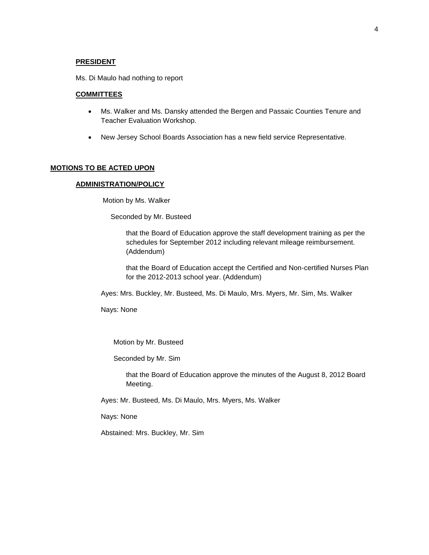#### **PRESIDENT**

Ms. Di Maulo had nothing to report

## **COMMITTEES**

- Ms. Walker and Ms. Dansky attended the Bergen and Passaic Counties Tenure and Teacher Evaluation Workshop.
- New Jersey School Boards Association has a new field service Representative.

#### **MOTIONS TO BE ACTED UPON**

#### **ADMINISTRATION/POLICY**

Motion by Ms. Walker

Seconded by Mr. Busteed

that the Board of Education approve the staff development training as per the schedules for September 2012 including relevant mileage reimbursement. (Addendum)

that the Board of Education accept the Certified and Non-certified Nurses Plan for the 2012-2013 school year. (Addendum)

Ayes: Mrs. Buckley, Mr. Busteed, Ms. Di Maulo, Mrs. Myers, Mr. Sim, Ms. Walker

Nays: None

Motion by Mr. Busteed

Seconded by Mr. Sim

that the Board of Education approve the minutes of the August 8, 2012 Board Meeting.

Ayes: Mr. Busteed, Ms. Di Maulo, Mrs. Myers, Ms. Walker

Nays: None

Abstained: Mrs. Buckley, Mr. Sim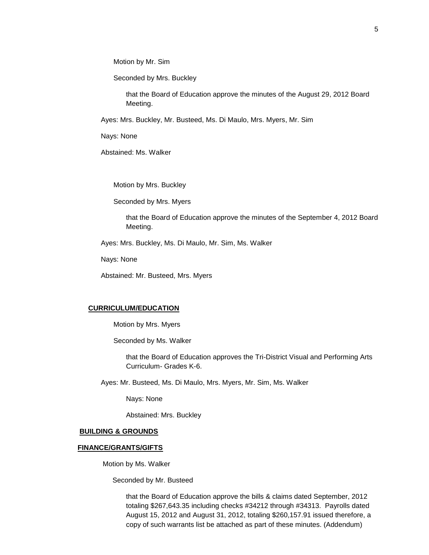Motion by Mr. Sim

Seconded by Mrs. Buckley

that the Board of Education approve the minutes of the August 29, 2012 Board Meeting.

Ayes: Mrs. Buckley, Mr. Busteed, Ms. Di Maulo, Mrs. Myers, Mr. Sim

Nays: None

Abstained: Ms. Walker

Motion by Mrs. Buckley

Seconded by Mrs. Myers

that the Board of Education approve the minutes of the September 4, 2012 Board Meeting.

Ayes: Mrs. Buckley, Ms. Di Maulo, Mr. Sim, Ms. Walker

Nays: None

Abstained: Mr. Busteed, Mrs. Myers

## **CURRICULUM/EDUCATION**

Motion by Mrs. Myers

Seconded by Ms. Walker

that the Board of Education approves the Tri-District Visual and Performing Arts Curriculum- Grades K-6.

Ayes: Mr. Busteed, Ms. Di Maulo, Mrs. Myers, Mr. Sim, Ms. Walker

Nays: None

Abstained: Mrs. Buckley

# **BUILDING & GROUNDS**

#### **FINANCE/GRANTS/GIFTS**

Motion by Ms. Walker

Seconded by Mr. Busteed

that the Board of Education approve the bills & claims dated September, 2012 totaling \$267,643.35 including checks #34212 through #34313. Payrolls dated August 15, 2012 and August 31, 2012, totaling \$260,157.91 issued therefore, a copy of such warrants list be attached as part of these minutes. (Addendum)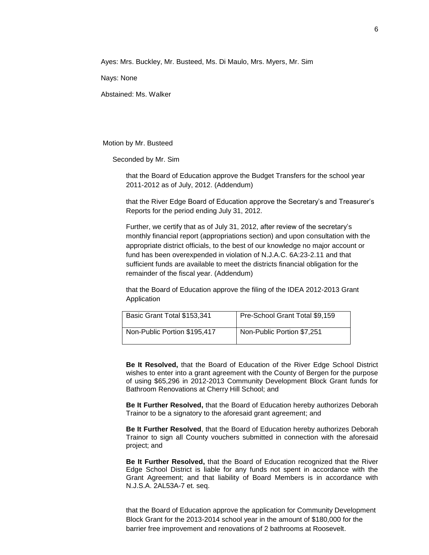Ayes: Mrs. Buckley, Mr. Busteed, Ms. Di Maulo, Mrs. Myers, Mr. Sim

Nays: None

Abstained: Ms. Walker

Motion by Mr. Busteed

Seconded by Mr. Sim

that the Board of Education approve the Budget Transfers for the school year 2011-2012 as of July, 2012. (Addendum)

that the River Edge Board of Education approve the Secretary's and Treasurer's Reports for the period ending July 31, 2012.

Further, we certify that as of July 31, 2012, after review of the secretary's monthly financial report (appropriations section) and upon consultation with the appropriate district officials, to the best of our knowledge no major account or fund has been overexpended in violation of N.J.A.C. 6A:23-2.11 and that sufficient funds are available to meet the districts financial obligation for the remainder of the fiscal year. (Addendum)

that the Board of Education approve the filing of the IDEA 2012-2013 Grant Application

| Basic Grant Total \$153,341  | Pre-School Grant Total \$9,159 |
|------------------------------|--------------------------------|
| Non-Public Portion \$195,417 | Non-Public Portion \$7,251     |

**Be It Resolved,** that the Board of Education of the River Edge School District wishes to enter into a grant agreement with the County of Bergen for the purpose of using \$65,296 in 2012-2013 Community Development Block Grant funds for Bathroom Renovations at Cherry Hill School; and

**Be It Further Resolved,** that the Board of Education hereby authorizes Deborah Trainor to be a signatory to the aforesaid grant agreement; and

**Be It Further Resolved**, that the Board of Education hereby authorizes Deborah Trainor to sign all County vouchers submitted in connection with the aforesaid project; and

**Be It Further Resolved,** that the Board of Education recognized that the River Edge School District is liable for any funds not spent in accordance with the Grant Agreement; and that liability of Board Members is in accordance with N.J.S.A. 2AL53A-7 et. seq.

that the Board of Education approve the application for Community Development Block Grant for the 2013-2014 school year in the amount of \$180,000 for the barrier free improvement and renovations of 2 bathrooms at Roosevelt.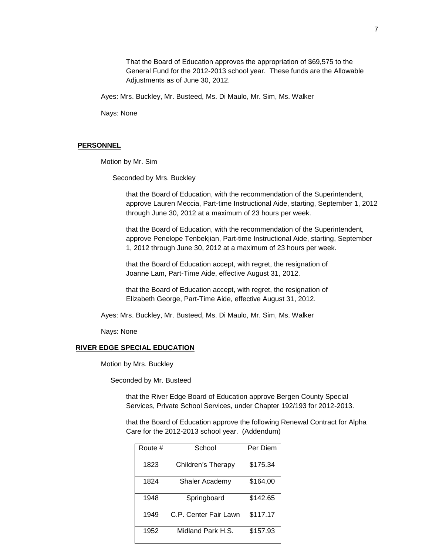That the Board of Education approves the appropriation of \$69,575 to the General Fund for the 2012-2013 school year. These funds are the Allowable Adjustments as of June 30, 2012.

Ayes: Mrs. Buckley, Mr. Busteed, Ms. Di Maulo, Mr. Sim, Ms. Walker

Nays: None

#### **PERSONNEL**

Motion by Mr. Sim

Seconded by Mrs. Buckley

that the Board of Education, with the recommendation of the Superintendent, approve Lauren Meccia, Part-time Instructional Aide, starting, September 1, 2012 through June 30, 2012 at a maximum of 23 hours per week.

that the Board of Education, with the recommendation of the Superintendent, approve Penelope Tenbekjian, Part-time Instructional Aide, starting, September 1, 2012 through June 30, 2012 at a maximum of 23 hours per week.

that the Board of Education accept, with regret, the resignation of Joanne Lam, Part-Time Aide, effective August 31, 2012.

that the Board of Education accept, with regret, the resignation of Elizabeth George, Part-Time Aide, effective August 31, 2012.

Ayes: Mrs. Buckley, Mr. Busteed, Ms. Di Maulo, Mr. Sim, Ms. Walker

Nays: None

#### **RIVER EDGE SPECIAL EDUCATION**

Motion by Mrs. Buckley

Seconded by Mr. Busteed

that the River Edge Board of Education approve Bergen County Special Services, Private School Services, under Chapter 192/193 for 2012-2013.

that the Board of Education approve the following Renewal Contract for Alpha Care for the 2012-2013 school year. (Addendum)

| Route # | School                | Per Diem |
|---------|-----------------------|----------|
|         |                       |          |
| 1823    | Children's Therapy    | \$175.34 |
| 1824    | Shaler Academy        | \$164.00 |
|         |                       |          |
| 1948    | Springboard           | \$142.65 |
|         |                       |          |
| 1949    | C.P. Center Fair Lawn | \$117.17 |
| 1952    | Midland Park H.S.     | \$157.93 |
|         |                       |          |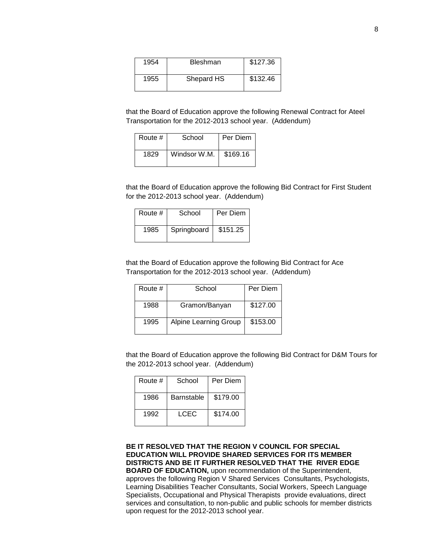| 1954 | <b>Bleshman</b> | \$127.36 |
|------|-----------------|----------|
| 1955 | Shepard HS      | \$132.46 |

that the Board of Education approve the following Renewal Contract for Ateel Transportation for the 2012-2013 school year. (Addendum)

| Route # | School       | Per Diem |
|---------|--------------|----------|
| 1829    | Windsor W.M. | \$169.16 |

that the Board of Education approve the following Bid Contract for First Student for the 2012-2013 school year. (Addendum)

| Route # | School      | Per Diem |
|---------|-------------|----------|
| 1985    | Springboard | \$151.25 |

that the Board of Education approve the following Bid Contract for Ace Transportation for the 2012-2013 school year. (Addendum)

| Route # | School                       | Per Diem |
|---------|------------------------------|----------|
| 1988    | Gramon/Banyan                | \$127.00 |
| 1995    | <b>Alpine Learning Group</b> | \$153.00 |

that the Board of Education approve the following Bid Contract for D&M Tours for the 2012-2013 school year. (Addendum)

| Route # | School     | Per Diem |
|---------|------------|----------|
| 1986    | Barnstable | \$179.00 |
| 1992    | LCEC       | \$174.00 |

**BE IT RESOLVED THAT THE REGION V COUNCIL FOR SPECIAL EDUCATION WILL PROVIDE SHARED SERVICES FOR ITS MEMBER DISTRICTS AND BE IT FURTHER RESOLVED THAT THE RIVER EDGE BOARD OF EDUCATION,** upon recommendation of the Superintendent, approves the following Region V Shared Services Consultants, Psychologists, Learning Disabilities Teacher Consultants, Social Workers, Speech Language Specialists, Occupational and Physical Therapists provide evaluations, direct services and consultation, to non-public and public schools for member districts upon request for the 2012-2013 school year.